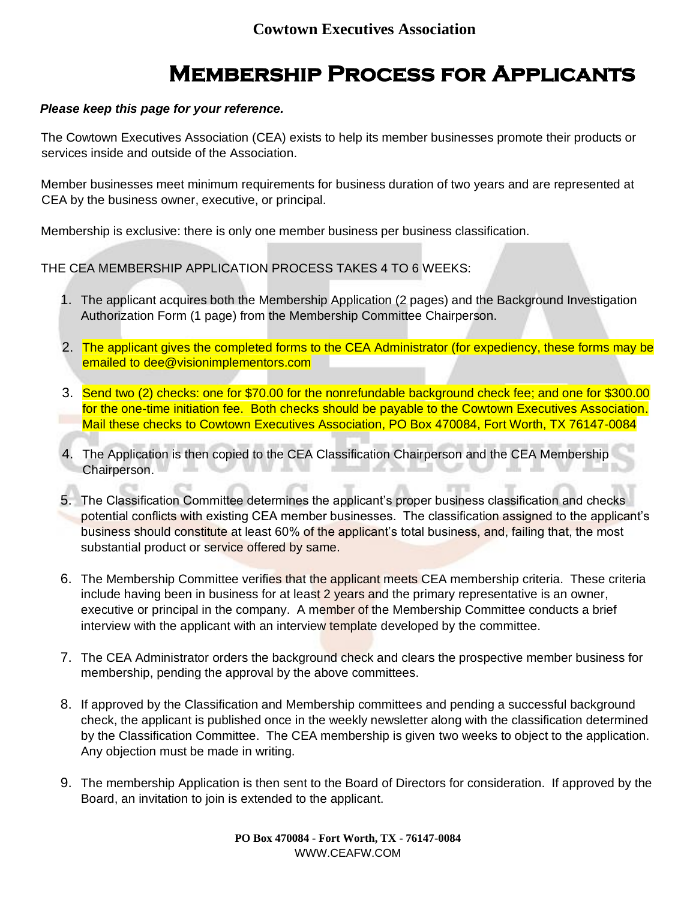# **Membership Process for Applicants**

### *Please keep this page for your reference.*

The Cowtown Executives Association (CEA) exists to help its member businesses promote their products or services inside and outside of the Association.

Member businesses meet minimum requirements for business duration of two years and are represented at CEA by the business owner, executive, or principal.

Membership is exclusive: there is only one member business per business classification.

THE CEA MEMBERSHIP APPLICATION PROCESS TAKES 4 TO 6 WEEKS:

- 1. The applicant acquires both the Membership Application (2 pages) and the Background Investigation Authorization Form (1 page) from the Membership Committee Chairperson.
- 2. The applicant gives the completed forms to the CEA Administrator (for expediency, these forms may be emailed to dee@visionimplementors.com
- 3. Send two (2) checks: one for \$70.00 for the nonrefundable background check fee; and one for \$300.00 for the one-time initiation fee. Both checks should be payable to the Cowtown Executives Association. Mail these checks to Cowtown Executives Association, PO Box 470084, Fort Worth, TX 76147-0084
- 4. The Application is then copied to the CEA Classification Chairperson and the CEA Membership Chairperson.
- 5. The Classification Committee determines the applicant's proper business classification and checks potential conflicts with existing CEA member businesses. The classification assigned to the applicant's business should constitute at least 60% of the applicant's total business, and, failing that, the most substantial product or service offered by same.
- 6. The Membership Committee verifies that the applicant meets CEA membership criteria. These criteria include having been in business for at least 2 years and the primary representative is an owner, executive or principal in the company. A member of the Membership Committee conducts a brief interview with the applicant with an interview template developed by the committee.
- 7. The CEA Administrator orders the background check and clears the prospective member business for membership, pending the approval by the above committees.
- 8. If approved by the Classification and Membership committees and pending a successful background check, the applicant is published once in the weekly newsletter along with the classification determined by the Classification Committee. The CEA membership is given two weeks to object to the application. Any objection must be made in writing.
- 9. The membership Application is then sent to the Board of Directors for consideration. If approved by the Board, an invitation to join is extended to the applicant.

**PO Box 470084 - Fort Worth, TX - 76147-0084**  WWW.CEAFW.COM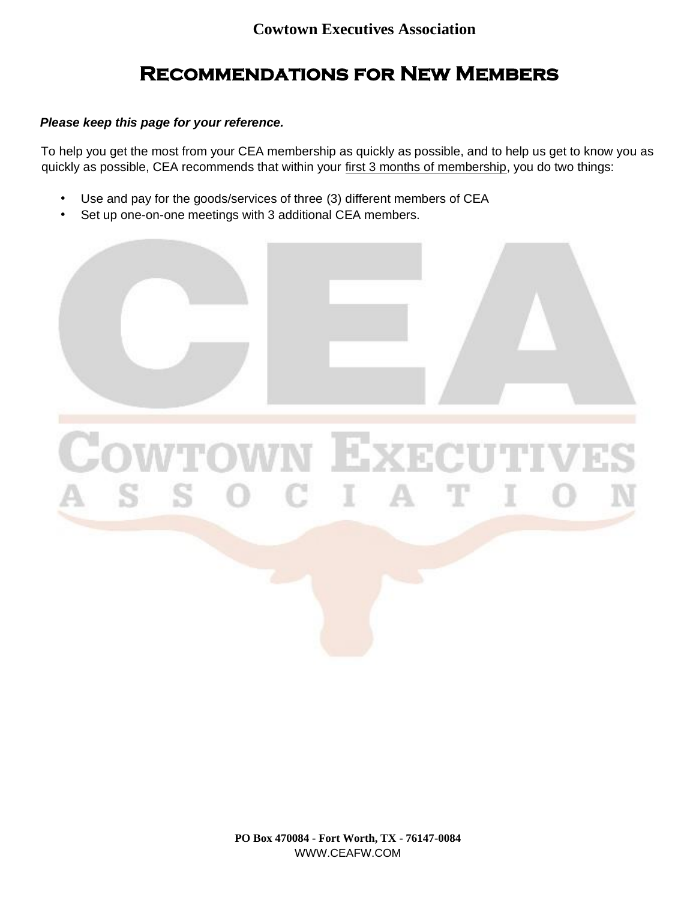# **Recommendations for New Members**

### *Please keep this page for your reference.*

To help you get the most from your CEA membership as quickly as possible, and to help us get to know you as quickly as possible, CEA recommends that within your first 3 months of membership, you do two things:

- Use and pay for the goods/services of three (3) different members of CEA
- Set up one-on-one meetings with 3 additional CEA members.



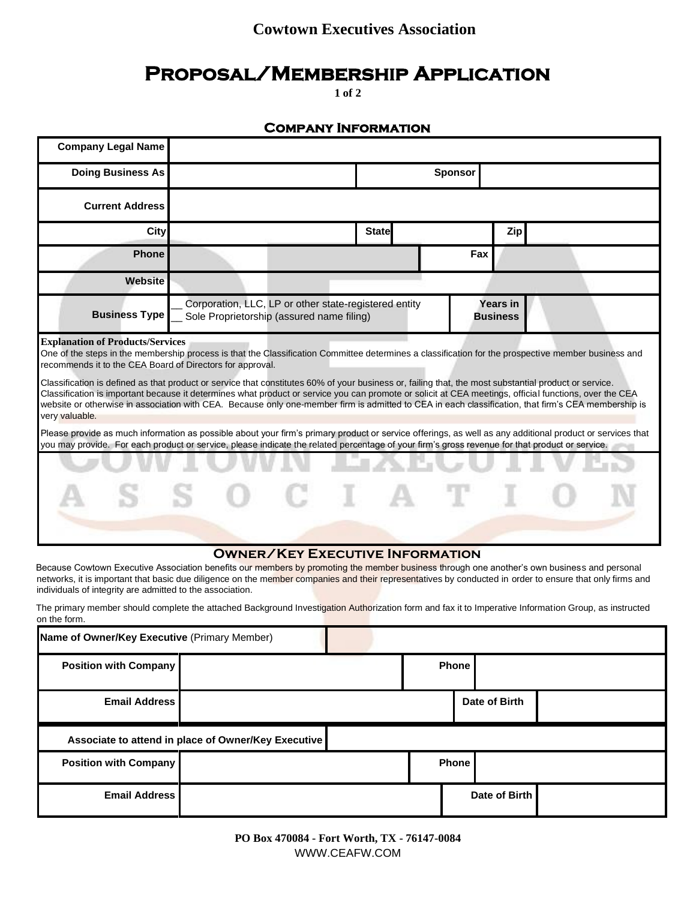### **Cowtown Executives Association**

### **Proposal/Membership Application**

**1 of 2** 

### **Company Information**

| <b>Company Legal Name</b>                                                                                                                                                                                                                                                                                                                                                                                                                                                                                                                                                                                                                                                                                                                               |  |                                                                                                                                          |              |                |            |  |  |
|---------------------------------------------------------------------------------------------------------------------------------------------------------------------------------------------------------------------------------------------------------------------------------------------------------------------------------------------------------------------------------------------------------------------------------------------------------------------------------------------------------------------------------------------------------------------------------------------------------------------------------------------------------------------------------------------------------------------------------------------------------|--|------------------------------------------------------------------------------------------------------------------------------------------|--------------|----------------|------------|--|--|
| <b>Doing Business As</b>                                                                                                                                                                                                                                                                                                                                                                                                                                                                                                                                                                                                                                                                                                                                |  |                                                                                                                                          |              | <b>Sponsor</b> |            |  |  |
| <b>Current Address</b>                                                                                                                                                                                                                                                                                                                                                                                                                                                                                                                                                                                                                                                                                                                                  |  |                                                                                                                                          |              |                |            |  |  |
| <b>City</b>                                                                                                                                                                                                                                                                                                                                                                                                                                                                                                                                                                                                                                                                                                                                             |  |                                                                                                                                          | <b>State</b> |                | <b>Zip</b> |  |  |
| <b>Phone</b>                                                                                                                                                                                                                                                                                                                                                                                                                                                                                                                                                                                                                                                                                                                                            |  |                                                                                                                                          |              | Fax            |            |  |  |
| Website                                                                                                                                                                                                                                                                                                                                                                                                                                                                                                                                                                                                                                                                                                                                                 |  |                                                                                                                                          |              |                |            |  |  |
| <b>Business Type</b>                                                                                                                                                                                                                                                                                                                                                                                                                                                                                                                                                                                                                                                                                                                                    |  | Corporation, LLC, LP or other state-registered entity<br><b>Years in</b><br>Sole Proprietorship (assured name filing)<br><b>Business</b> |              |                |            |  |  |
| <b>Explanation of Products/Services</b><br>One of the steps in the membership process is that the Classification Committee determines a classification for the prospective member business and<br>recommends it to the CEA Board of Directors for approval.<br>Classification is defined as that product or service that constitutes 60% of your business or, failing that, the most substantial product or service.<br>Classification is important because it determines what product or service you can promote or solicit at CEA meetings, official functions, over the CEA<br>website or otherwise in association with CEA. Because only one-member firm is admitted to CEA in each classification, that firm's CEA membership is<br>very valuable. |  |                                                                                                                                          |              |                |            |  |  |
| Please provide as much information as possible about your firm's primary product or service offerings, as well as any additional product or services that<br>you may provide. For each product or service, please indicate the related percentage of your firm's gross revenue for that product or service.                                                                                                                                                                                                                                                                                                                                                                                                                                             |  |                                                                                                                                          |              |                |            |  |  |
|                                                                                                                                                                                                                                                                                                                                                                                                                                                                                                                                                                                                                                                                                                                                                         |  |                                                                                                                                          |              |                |            |  |  |
|                                                                                                                                                                                                                                                                                                                                                                                                                                                                                                                                                                                                                                                                                                                                                         |  | <b>OWNER/KEY EXECUTIVE INFORMATION</b>                                                                                                   |              |                |            |  |  |

Because Cowtown Executive Association benefits our members by promoting the member business through one another's own business and personal networks, it is important that basic due diligence on the member companies and their representatives by conducted in order to ensure that only firms and individuals of integrity are admitted to the association.

The primary member should complete the attached Background Investigation Authorization form and fax it to Imperative Information Group, as instructed on the form.

| Name of Owner/Key Executive (Primary Member)        |  |  |       |              |               |  |  |
|-----------------------------------------------------|--|--|-------|--------------|---------------|--|--|
| <b>Position with Company</b>                        |  |  |       | <b>Phone</b> |               |  |  |
| <b>Email Address</b>                                |  |  |       |              | Date of Birth |  |  |
| Associate to attend in place of Owner/Key Executive |  |  |       |              |               |  |  |
| <b>Position with Company</b>                        |  |  | Phone |              |               |  |  |
| <b>Email Address</b>                                |  |  |       |              | Date of Birth |  |  |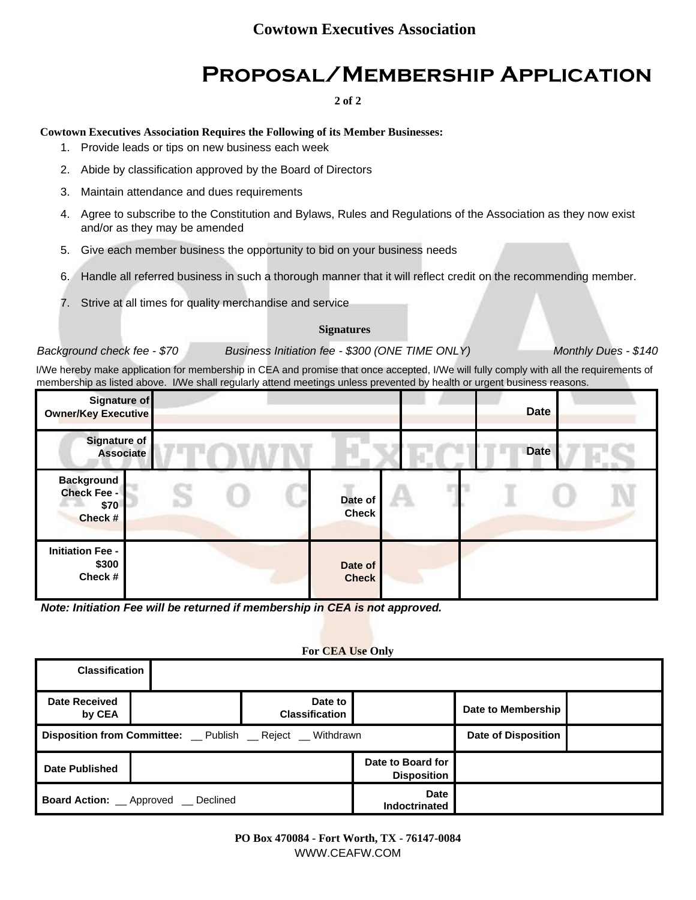# **Proposal/Membership Application**

**2 of 2** 

### **Cowtown Executives Association Requires the Following of its Member Businesses:**

- 1. Provide leads or tips on new business each week
- 2. Abide by classification approved by the Board of Directors
- 3. Maintain attendance and dues requirements
- 4. Agree to subscribe to the Constitution and Bylaws, Rules and Regulations of the Association as they now exist and/or as they may be amended
- 5. Give each member business the opportunity to bid on your business needs
- 6. Handle all referred business in such a thorough manner that it will reflect credit on the recommending member.
- 7. Strive at all times for quality merchandise and service

#### **Signatures**

#### *Background check fee - \$70 Business Initiation fee - \$300 (ONE TIME ONLY) Monthly Dues - \$140*

I/We hereby make application for membership in CEA and promise that once accepted, I/We will fully comply with all the requirements of membership as listed above. I/We shall regularly attend meetings unless prevented by health or urgent business reasons.

| Signature of<br><b>Owner/Key Executive</b>                 |                         | <b>Date</b> |  |
|------------------------------------------------------------|-------------------------|-------------|--|
| <b>Signature of</b><br><b>Associate</b>                    |                         | <b>Date</b> |  |
| <b>Background</b><br><b>Check Fee -</b><br>\$70<br>Check # | Date of<br><b>Check</b> |             |  |
| <b>Initiation Fee -</b><br>\$300<br>Check#                 | Date of<br><b>Check</b> |             |  |

*Note: Initiation Fee will be returned if membership in CEA is not approved.* 

#### **For CEA Use Only**

| <b>Classification</b>            |                                                            |                                  |                                         |                    |  |
|----------------------------------|------------------------------------------------------------|----------------------------------|-----------------------------------------|--------------------|--|
| <b>Date Received</b><br>by CEA   |                                                            | Date to<br><b>Classification</b> |                                         | Date to Membership |  |
|                                  | Disposition from Committee: _ Publish _ Reject _ Withdrawn | <b>Date of Disposition</b>       |                                         |                    |  |
| Date Published                   |                                                            |                                  | Date to Board for<br><b>Disposition</b> |                    |  |
| <b>Board Action:</b> __ Approved | Declined                                                   |                                  | <b>Date</b><br><b>Indoctrinated</b>     |                    |  |